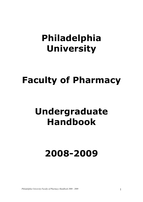## **Philadelphia University**

# **Faculty of Pharmacy**

# **Undergraduate Handbook**

# **2008-2009**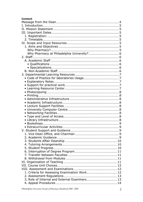## **Content**

| · Extracurricular Activities | 9 |
|------------------------------|---|
|                              |   |
|                              |   |
|                              |   |
|                              |   |
|                              |   |
|                              |   |
|                              |   |
|                              |   |
|                              |   |
|                              |   |
|                              |   |
|                              |   |
|                              |   |
|                              |   |
|                              |   |
|                              |   |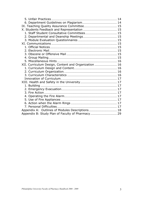| XII. Curriculum Design, Content and Organization  16 |  |
|------------------------------------------------------|--|
|                                                      |  |
|                                                      |  |
|                                                      |  |
|                                                      |  |
|                                                      |  |
|                                                      |  |
|                                                      |  |
|                                                      |  |
|                                                      |  |
|                                                      |  |
|                                                      |  |
|                                                      |  |
|                                                      |  |
|                                                      |  |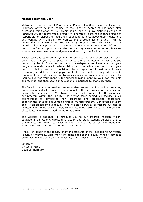#### **Message from the Dean**

Welcome to the Faculty of Pharmacy at Philadelphia University. The Faculty of Pharmacy offers courses leading to the Bachelor degree of Pharmacy after successful compilation of 160 credit hours, and it is my distinct pleasure to introduce you to the Pharmacy Profession. Pharmacy is the health care profession responsible for dispensing medicines, educating patients about their medications and working with clinicians to promote the effective use of drugs. With the unprecedented advances in drug discovery, together with the exciting new interdisciplinary approaches to scientific discovery, it is sometimes difficult to predict the future of pharmacy in the 21st century. One thing is certain, however - there has never been a more dynamic and exciting time for Pharmacy.

Health care and educational systems are perhaps the best expressions of social organization. As you contemplate the practice of a profession, we ask that you remain cognizant of a collective human interdependence. Recognize that your progress depends upon a broader social context, that while you contribute to your own well being, you also contribute to a larger social environment. Your education, in addition to giving you intellectual satisfaction, can provide a solid economic future. Always hold on to your capacity for imagination and desire for inquiry. Exercise your capacity for critical thinking. Capture your own thoughts and feelings, and then use your educational experience to crystallize them.

The Faculty's goal is to provide comprehensive professional instruction, preparing graduates who display concern for human health and possess an emphasis on moral values and services. We strive to be among the very best in the country in our program within the Faculty. The driving force behind our faculty is our commitment to developing new programs and presenting educational opportunities that reflect Jordan's unique multiculturalism. Our diverse student body is embraced by our faculty, who not only serve as professors but also as mentors and friends. Our relatively small class sizes foster friendship and bonding of students who learn to work together as a team.

The website is designed to introduce you to our program mission, vision, educational philosophy, curriculum, faculty and staff, student services, and to events occurring within our Faculty. You will also find current information on admissions, accreditation and other relevant topics.

Finally, on behalf of the faculty, staff and students of the Philadelphia University Faculty of Pharmacy, welcome to the home page of the Faculty. When it comes to pharmacy, Philadelphia University Faculty of Pharmacy is the place to be.

Sincerely, Dr. Adi I. Arida Dean of Pharmacy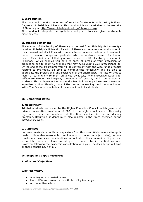## **I. Introduction**

This handbook contains important information for students undertaking B.Pharm Degree at Philadelphia University. This handbook is also available on the web site of Pharmacy at http://www.philadelphia.edu.jo/pharmacy.asp

This handbook interprets the regulations and your tutors can give the students more advices.

#### **II. Mission Statement**

The mission of the faculty of Pharmacy is derived from Philadelphia University's mission. Philadelphia University Faculty of Pharmacy prepares men and women in their professional disciplines with an emphasis on moral values and service in order to develop competent graduates who demonstrate concern for human health. This mission is fulfilled by a broad based, scientifically strong education in Pharmacy, which enables you both to enter all areas of your profession on graduation and to adapt to changes that may occur during your professional life. By the end of the programme you will be conversant with the wide range of topics relating to Pharmacy, be able to communicate effectively and be able to appreciate the professional and social role of the pharmacist. The faculty tries to foster a learning environment enhanced by faculty who encourage leadership, self-determination, self-respect, promotion of justice, and compassion in students. This is dependent on a sound scientific knowledge base, well developed expertise, critical thinking capabilities, moral reasoning, and communication skills. The School strives to instill these qualities in its students.

#### **III. Important Dates**

#### *1. Registration:*

Admission criteria are issued by the Higher Education Council, which governs all private universities; minimum of 80% in the high school score. University registration must be completed at the time specified in the introductory timetable. Returning students must also register in the times specified during introductory week.

## *2. Timetable*

Lectures timetable is published separately from this book. Whilst every attempt is made to timetable reasonable combinations of course units (modules), various constraints make some combinations and outside options impossible. If you have a timetable problem, please consult your personal tutor in the first instance. However, following the academic consultation with your Faculty advisor will limit all these constrains, if at all.

#### **IV. Scope and Input Resources**

#### *1. Aims and Objectives*

#### **Why Pharmacy?**

- A satisfying and varied career
- Many different career paths with flexibility to change
- A competitive salary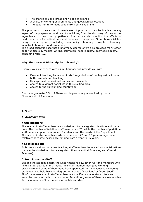- The chance to use a broad knowledge of science
- A choice of working environments and geographical locations
- The opportunity to meet people from all walks of life

The pharmacist is an expert in medicines. A pharmacist can be involved in any aspect of the preparation and use of medicines, from the discovery of their active ingredients to their use by patients. Pharmacists also monitor the effects of medicines, both for patient care and for research purposes. So a pharmacist has many career options, including community pharmacy, hospital pharmacy, industrial pharmacy, and academia.

The broad scientific base that a pharmacy degree offers also provides many other opportunities e.g. medical writing, journalism, food industry, cosmetic industry, consulting roles.......

## **Why Pharmacy at Philadelphia University?**

Overall, your experience with us in Pharmacy will provide you with:

- Excellent teaching by academic staff regarded as of the highest calibre in both research and teaching.
- Unsurpassed professional and career prospects.
- Access to a vibrant social life in this exciting area.
- Access to the surrounding countryside.

Our undergraduate B.Sc. of Pharmacy degree is fully accredited by Jordan Pharmaceutical Association.

#### **2. Staff**

#### *A. Academic Staff*

#### **• Qualifications**

The academic staff members are divided into two categories: full-time and parttime. The number of full-time staff members is 20, while the number of part-time staff depends upon the number of students and the needs of the Department. The academic staff members, who are between 27 and 70 years of age, have relatively adequate experience ranging from 1 year to 35 years.

#### **• Specializations**

Full-time as well as part-time teaching staff members have various specialisations that can be divided into two categories (Pharmaceutical Sciences, and Clinical Sciences).

#### *B. Non-Academic Staff*

Besides the academic staff, the Department has 12 other full-time members who hold a B.Sc. degree in Pharmacy. This staff member has good working experience and some of them have been appointed from Philadelphia University graduates who hold bachelor degrees with Grade "Excellent" or "Very Good". All of the non-academic staff members are qualified as laboratory tutors and assist lecturers in the laboratory hours. In addition, some of them are responsible for maintenance of instruments in the laboratories.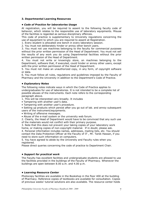#### **3. Departmental Learning Resources**

#### *• Code of Practice for laboratories Usage*

At registration, you will be required to assent to the following faculty code of behavior, which relates to the responsible use of laboratory equipments. Misuse of the facilities is regarded as serious disciplinary offences.

This code of practice is supplementary to University regulations concerning the use of equipment to which you are required to assent at Registration.

1. Every student is allocated one bench in every laboratory session.

2. You must not deliberately hinder or annoy other bench users.

3. You must not use machines belonging to the faculty for commercial purposes without the prior written permission of the Head of Department. You must not sell the results of any work you do using Departmental facilities without the prior written permission of the Head of Department.

4. You must not write or knowingly store, on machines belonging to the Department, software that, if executed, could hinder or annoy other users, except with the prior written permission of the Head of Department.

5. You must not make an unauthorized copy, in any form, of copyright software or data.

6. You must follow all rules, regulations and guidelines imposed by the Faculty of Pharmacy and the University in addition to the Department's Code of Practice.

#### *• Explanatory Notes*

The following notes indicate ways in which the Code of Practice applies to undergraduates for use of laboratories. It is not intended to be a complete list of possible abuses of the instruments. Each note refers to the corresponding paragraph above.

1. This will be interpreted very broadly. It includes

- Tampering with another user's data.
- Tampering with another user's procedure.

• Setting up products which persist after you go out of lab. and annoy subsequent users of the instrument/equipments.

- Writing of offensive messages.
- Abuse of the e-mail system or the university web forum.

2. Clearly, the Head of Department would have to be convinced that any such use of the materials would not conflict with their primary purpose.

3. Note that this does not prevent your taking copies of your laboratory work home, or making copies of non-copyright material. If in doubt, please ask.

4. Personal information includes names, addresses, mailing lists, etc. You should contact the Data Protection Officer at the Faculty of IT , Mr. Tarek Hassan, if you need to store such information on computers.

5. You have agreed to abide by the University and Faculty rules when you registered.

Please direct queries concerning the code of practice to Department Chair.

#### *• Support for practical work*

The Faculty has excellent facilities and undergraduate students are allowed to use the facilities provided in the buildings of the Faculty of Pharmacy. Whenever the buildings are open between 8.00 a.m. and 4.00 p.m.

#### *• Learning Resource Center*

Photocopy facilities are available in the Bookshop in the floor 400 at the building of Pharmacy. Reference copies of textbooks are available for consultation. Copies of previous weeks' tutorial solutions are also available. The resource center holds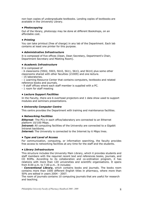non-loan copies of undergraduate textbooks. Lending copies of textbooks are available in the University Library.

#### *• Photocopying*

Out of the library, photocopy may be done at different Bookshops, on an affordable cost.

#### *• Printing*

You can take printout (free of charge) in any lab of the Department. Each lab contains at least one printer for this purpose.

#### *• Administrative Infrastructure*

It is composed of five offices (Dean, Dean Secretary, Department's Chair, Department Secretary and Meeting Room).

#### *• Academic Infrastructure*

It is composed of

- 6 classrooms (5502, 5503, 5610, 5611, 5613, and 5614) plus some other classrooms shared with other faculties (21009) and one lecture.

- 15 laboratories.
- 1 Learning Resource Center that contains computers, textbooks and related reference books and journals.
- 9 staff offices where each staff member is supplied with a PC.
- 1 room for staff meeting

#### *• Lecture Support Facilities*

In the Faculty, there are 6 overhead projectors and 1 data show used to support modules and seminars presentations.

#### *• University Computer Centre*

This centre provides the Department with training and maintenance facilities.

#### *• Networking Facilities*

*Ethernet:* The PCs in each office/laboratory are connected to an Ethernet platform 10/100 Mbps.

**Intranet:** All computing facilities of the University are connected to a Gigabit Intranet backbone.

**Internet:** The University is connected to the Internet by 6 Mbps lines.

#### *• Type and Level of Access*

For communication, computing, or information searching, the faculty provides free access to networking facilities at any time for the staff and the students.

#### *• Library Infrastructure*

This structure includes the University Main Library, which it provides students and staff members with the required recent text and references books, journals, and CD ROMs. According to its collaboration and co-ordination program, it has relations with more than 120 universities and scientific organisations. It opens from 8.00 a.m. to 7.00 p.m.. It includes:

- *Conventional Library***,** which contains books and journals. The books room contains more than 1000 different English titles in pharmacy, where more than 50% are edited in years 2004 - 2007.

The room of journals contains 10 computing journals that are useful for research and teaching.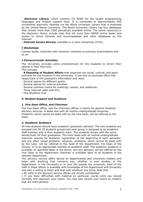- *Electronic Library***,** which contains CD ROMs for the taught programming languages and module support tools. It is connected to approximately 500 universities electronic libraries via the World University Library that is endorsed by the United Nation University. The World University Library has four databases that contain more than 3300 periodicals available online. The online resources in the electronic library include sites that list more than 40000 online books and access to online libraries and encyclopaedias and other databases on the Internet.

- *Internet Access Service,* available in a room containing 10 PCs.

#### *• Bookshops*

Contain books, exercises with solutions, solutions to previous examinations and so on.

#### *• Extracurricular Activities*

The University provides some entertainment for the students to enrich their talents in their free time.

This includes

- **A Deanship of Student Affairs** that organizes the social, cultural, and sport activities for the students in the University. It has also an alumnae office that keeps track of the graduate's information and news.

- Several spaces for different sports.
- Several spaces for cultural activities.
- Several common rooms for meetings, snacks, and cafeterias.
- Three Internet cafes with PCs.
- One Students Club.

#### **V. Student Support and Guidance**

#### *1. Vice Dean Office, and Chairman*

The Vice Dean Office, and the Chairman offices is mainly for general students advisory services. It deals also with all routine undergraduate enquiries. Problems, which cannot be dealt with by the Vice Dean, will be referred to the Dean.

## *2. Academic Guidance*

All new students should have academic (personal) advisors. The new students are grouped into 30-35 students groups and each group is assigned to an academic staff member who is their academic tutor. The students remain with the same advisir/tutor till their graduation. The tutor deals with all routine undergraduate inquiries, advises for academic registration at the beginning of each semester, and any other raised problems. However, problems, which cannot be dealt with by the tutor, will be referred to the head of the Department, the Dean of the Faculty, or to an appropriate member of academic staff. The academic guidance is available on specified dates in the terms, and any advisory service offered by the Vice Dean or the department chairman is available daily to all students in the relevant Department.

The advisory service offers advice on departmental and University matters and helps with anything that concerns you, whether in your studies, in the Department, in the University or in your life outside the university. Each of the staff in these offices is available with knowledge of the Department and University and who is willing to listen and help with whatever you bring. Note that

• All visits to the advisory service offices are strictly confidential.

• If you have difficulties with material on particular course units you should normally first approach your tutors. You may also consult your tutors on matters that are more general.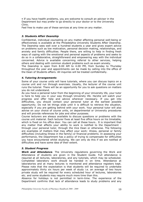• If you have health problems, you are welcome to consult an advisor in the Department but may prefer to go directly to your doctor or to the University Clinic.

Feel free to make use of these services at any time on any matter.

#### *3. Students Affair Deanship*

Confidential, individual counseling on any matter affecting personal well-being or effectiveness is available at the Philadelphia University Students Affair Deanship. The Deanship sees well over a hundred students a year and gives expert advice on problems such as low motivation, personal decision making, relationships, and anxiety and family difficulties. People there, are willing to help in finding fresh ways of coping with the emotional and personal aspects of problems and seeks to do so in a collaborative, straightforward and empowering way with the individual concerned. Advice is available concerning referral to other services, helping others and dealing with common student problems such as exam anxiety.

The Deanship is open from 8.00 AM to 4.00 PM, from Sunday to Thursday throughout the year and appointments can be made by calling into the office of the Dean of Students affairs. All inquiries will be treated confidentially.

#### *4. Tutoring Arrangements*

Some of your course units will have tutorials, where you can discuss topics on a course unit and run through exercises. Usually, the lecturer of the course unit runs the tutorial. There will be an opportunity for you to ask questions on matters you do not understand.

As you have a personal tutor from the beginning of your University life, your tutor is here to help you in your way through University life. He/she will watch your progress and offer help and advice wherever necessary. If you get into difficulties, you should contact your personal tutor at the earliest possible opportunity. Do not let things slide until it is difficult to retrieve the situation, especially if you are getting behind with your work. Your personal tutor will also advise on your choice of course units, on departmental or University procedures and will provide references for jobs and other purposes.

Course lecturers are always available to discuss questions or problems with the course unit material. Each lecturer fixes at least five office hours on his timetable, which is fixed on his office door. You can call at these hours.. It is important that any matter that affects your ability to work is notified to the Department through your personal tutor, through the Vice Dean or otherwise. The following are examples of matters that may affect your work: illness, personal or family difficulties (including illness in the family) or financial problems. In assessing your performance, the Department has a policy of trying to compensate for difficulties you have encountered whilst studying. We can only do this if we are notified of difficulties and have some idea of their extent.

#### *5. Student Progress*

*Work and Attendance.* The University regulations governing the Work and Attendance of students are given in the Student Guide. Full attendance is required at all lectures, laboratories, and any tutorials, which may be scheduled. Completed laboratory work should be handed in on time. Attendance at laboratories and at many lectures is monitored and attendance registers kept. Please note that the expectation is that students will be required to undertake approximately thirty six hours per week of study i.e. an average of two hours private study will be required for every scheduled hour of lectures, laboratories etc. and some students may require much more time than this.

Absence for holidays is not permitted in term-time. The experience of the Department confirms that lack of attendance leads to study problems and any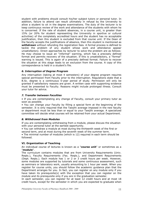student with problems should consult his/her subject tutors or personal tutor. In addition, failure to attend can result ultimately in refusal by the University to allow a student to sit in the degree examinations. The duty of the lecturer is to keep continuous review of the work and attendance of the students with whom he is concerned. If the rate of student absences, in a course unit, is greater than 15% (or 20% for student representing the University in sportive or cultural activities) of the completely accredited hours and the student has no acceptable justification, then this student is excluded from that course unit. If the Dean of the faculty accepts the justifications of absence, then this student is mentioned as *withdrawn* without refunding the registration fees*.* A formal process is defined to tackle the problem of any student whose work and attendance appear unsatisfactory. Direct approaches by lecturer to solve the problem are as follows: He may choose to issue an "informal" warning, which has a precisely defined format and permits recovery of the situation. If this is unsatisfactory, a "formal" warning is issued. This is again of a precisely defined format. Failure to recover the situation at this stage leads to an exclusion from the course. A copy of this correspondence is held in a student's file.

#### *6. Interruption of Degree Program*

Any interruption (taking at most 4 semesters) of your degree program requires special permission from Faculty prior to the interruption. Regulations state that a B.Sc. degree is a continuous 5-year period of study. Permission will only be granted if satisfactory reasons are given. A written case with supporting evidence must be presented to Faculty. Reasons might include prolonged illness. Consult your tutor for advice.

#### *7. Transfer between Faculties*

• If you are contemplating any change of Faculty, consult your primary tutor as soon as possible.

• You can change your Faculty by filling a special form at the beginning of the semester. It is only required that the Tawjihi average imposed in the new faculty or department must be less than or equal to your Tawjihi average. A specialized committee will decide what courses will be retained from your actual Department.

#### *8. Withdrawal from Modules*

If you are contemplating withdrawing from a module, please discuss the situation with your personal tutor at the earliest opportunity.

• You can withdraw a module at most during the thirteenth week of the first or second term, and at most during the seventh week of the summer term.

• The minimal number of modules (which is 12) required in each term should be followed.

#### **VI. Organization of Teaching**

An individual course of lectures is known as a "**course unit**" or sometimes as a "**module**".

The curriculum contains modules that are from University Requirements (Univ. Reqts.), Faculty Requirements (Fac. Reqts.), and Department Requirements (Dept. Reqts.). Each module has 1 or 2 or 3 credit hours per week. However, some modules are supported by tutorials and some continuous assessment, such as seminars or laboratory work, usually amounting to 1 hour per week. When you register for course units, you should follow the academic guidance plan that the Department arranges for you. In fact, you can register on any module only if you have taken its prerequisite(s) with the exception that you can register on the module and its prerequisite only if you are in the graduation semester.

In each semester, you can register for at least 12 credit hours and at most 18 credit hours, except for the semester in which you are expected to graduate when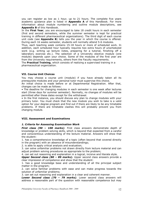you can register as low as 1 hour, up to 21 hours. The complete five years academic guidance plan is listed in **Appendix A** of this Handbook. For more information about module numbering and outline module descriptions, see **Appendix B** of this Handbook.

In the **First Year**, you are encouraged to take 18 credit hours in each semester (first and second semesters, while the summer semester is kept for practical training in different pharmaceutical organizations). The third digit of each course unit code (see **Appendix B**) tells you the year in which the course is offered. During each 16 weeks semester, students will normally attend 5-6 modules.

Thus, each teaching week contains 15-18 hours or more of scheduled work. In addition, each scheduled hour typically requires two extra hours of unscheduled work (e.g. writing up lecture notes, preparing for a tutorial, finishing off a laboratory exercise etc.). The selection of a University elective module (one module) depends upon your choice. Some of the modules of the first year are from the University requirements, others from the Faculty requirements.

The **Practical Training**, which consists of realizing a supervised training in a pharmaceutical organization.

## **VII. Course Unit Choices**

You may choose a course unit (module) if you have already taken all its prerequisite modules and your personal tutor must supervise this choice.

An initial choice is made before or at Departmental Registration. After that, changes can be made as follows:

• The deadline for changing modules in each semester is one week after lectures start (three days for summer semester). Normally, no changes of modules will be permitted after these dates except for the withdrawal.

• In the first instance, you should discuss any plan to change modules with your primary tutor. You must check that the new module you wish to take is a valid option for your degree program and find out if there are likely to be any timetable problems. If there are timetable clashes this will probably prevent you from changing module.

#### **VIII. Assessment and Examinations**

#### *1. Criteria for Assessing Examination Work*

*First class (90 – 100 marks).* First class answers demonstrate depth of knowledge or problem solving skills, which is beyond that expected from a careful and conscientious understanding of the lecture material. Answers will show that the student:

1. has a comprehensive knowledge of a topic (often beyond that covered directly in the program) with an absence of misunderstandings;

2. is able to apply critical analysis and evaluation;

3. can solve unfamiliar problems not drawn directly from lecture material and can adjust problem solving procedures as appropriate to the problem;

4. can set out reasoning and explanation in a logical, incisive and literate style.

*Upper Second class (80 – 89 marks).* Upper second class answers provide a clear impression of competence and show that the student:

1. has a good knowledge base and understanding of all the principal subject matter in the program;

2. can solve familiar problems with ease and can make progress towards the solution of unfamiliar problems;

3. can set out reasoning and explanation in a clear and coherent manner.

*Lower Second class (70 – 79 marks).* Lower second class answers will address a reasonable part of the question with reasonable competence but may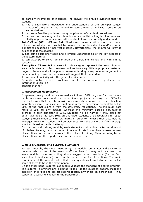be partially incomplete or incorrect. The answer will provide evidence that the student:

- 1. has a satisfactory knowledge and understanding of the principal subject matter of the program but limited to lecture material and with some errors and omissions.
- 2. can solve familiar problems through application of standard procedures.
- 3. can set out reasoning and explanation which, whilst lacking in directness and clarity of presentation can nevertheless be followed and readily understood.

*Third Class (60 – 69 marks).* Third class answers will demonstrate some relevant knowledge but may fail to answer the question directly and/or contain significant omissions or incorrect material. Nevertheless, the answer will provide evidence that the student:

1. has some basic knowledge and a limited understanding of the key aspects of the lecture material;

2. can attempt to solve familiar problems albeit inefficiently and with limited success.

*Pass (50 – 59 marks).* Answers in this category represent the very minimum acceptable standard. Such answers will contain very little appropriate material, major omissions and will be poorly presented lacking in any coherent argument or understanding. However the answer will suggest that the student

1. has some familiarity with the general subject area;

2. whilst unable to solve problems can at least formulate a problem from information given in a

sensible manner.

#### *2. Assessment Regulations*

In general, every module is assessed as follows: 50% is given for two 1-hour midterm exams, coursework and/or seminars, projects, or essays, and 50% for the final exam that may be a written exam only or a written exam plus final laboratory exam (if applicable), final small project, or seminar presentation. The 50% of the final exam is from the University regulations. The minimum pass mark is 50% for any module, whereas the minimum passing accumulated average in each semester is 60%. Students will be warned if they could not obtain average of at least 60%. In this case, students are encouraged to repeat studying those modules with low marks in order to increase their accumulated averages. However, students will be dismissed from the University if this average is not achieved in the third attempt.

For the practical training module, each student should submit a technical report of his/her training, and a team of academic staff members makes several observations on the trainers' work in their place of training. Then according to the observations and the report, they assess the students.

#### *3. Role of Internal and External Examiners*

For each module, the Department assigns a module coordinator and an internal reviewer who is one of the senior staff members. If many lecturers teach the same module concurrently, they should suggest exam questions (for the first, second and final exams) and run the same exam for all sections. The main coordinator of the module will collect these questions from lecturers and select some of them to be in the exam paper.

On the other hand, external examiners validate the standard of degree program. The external examiners are expected to look at the question papers, inspect a selection of scripts and project reports (particularly those on borderlines). They supply an assessment report to the Department.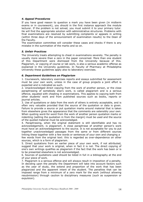#### *4. Appeal Procedures*

If you have good reason to question a mark you have been given (in midterm exams or in coursework), you should in the first instance approach the module lecturer. If the problem is not solved, you must submit it to your primary tutor. He will find the appropriate solution with administrative structures. Problems with final examinations are resolved by submitting complaints or appeals in writing (within three days of the announcement of examination results) to the Dean of the Faculty.

The examination committee will consider these cases and checks if there is any mistake in the summation of the marks and so on.

#### *5. Unfair Practices*

The University treats attempting to cheat in examinations severely. The penalty is usually more severe than a zero in the paper concerned. More than one student of this Department were dismissed from the University because of this. Plagiarism, or copying of course or lab work, is also a serious academic offense as explained in the University guidelines. In Faculty of Pharmacy at Philadelphia University these guidelines apply also to laboratory exercises.

#### *6. Department Guidelines on Plagiarism*

1. Coursework, laboratory exercises reports and essays submitted for assessment must be your own work, unless in the case of group projects a joint effort is expected and is indicated as such.

2. Unacknowledged direct copying from the work of another person, or the close paraphrasing of somebody else's work, is called plagiarism and is a serious offence, equated with cheating in examinations. This applies to copying both from other students' work and from published sources such as books, reports or journal articles.

3. Use of quotations or data from the work of others is entirely acceptable, and is often very valuable provided that the source of the quotation or data is given. Failure to provide a source or put quotation marks around material that is taken from elsewhere gives the appearance that the comments are ostensibly your own. When quoting word-for-word from the work of another person quotation marks or indenting (setting the quotation in from the margin) must be used and the source of the quoted material must be acknowledged.

4. Paraphrasing, when the original statement is still identifiable and has no acknowledgement, is plagiarism. A close paraphrase of another person's work must have an acknowledgement to the source. It is not acceptable for you to put together unacknowledged passages from the same or from different sources linking these together with a few words or sentences of your own and changing a few words from the original text: this is regarded as over-dependence on other sources, which is a form of plagiarism.

5. Direct quotations from an earlier piece of your own work, if not attributed, suggest that your work is original, when in fact it is not. The direct copying of one's own writings qualifies as plagiarism if the fact that the work has been or is to be presented elsewhere is not acknowledged.

6. Sources of quotations used should be listed in full in a bibliography at the end of your piece of work.

7. Plagiarism is a serious offence and will always result in imposition of a penalty. In deciding upon the penalty the Department will take into account factors such as the year of study, the extend and proportion of the work that has been plagiarized and the apparent intent of the student. The penalties that can be imposed range from a minimum of a zero mark for the work (without allowing resubmission) through caution to disciplinary measures (such as suspension or expulsion).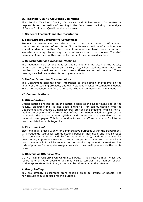## **IX. Teaching Quality Assurance Committee**

The Faculty Teaching Quality Assurance and Enhancement Committee is responsible for the quality of teaching in the Department, including the analysis of Course Evaluation Questionnaire responses.

#### **X. Students Feedback and Representation**

#### *1. Staff Student Consultative Committees*

Student representatives are elected onto the departmental staff student committees at the start of each term. All simultaneous sections of a module have a staff student committee. Each committee meets at least three times each semester and may discuss any matter of concern with the module. The staff members of each committee are the lecturers of the concerned sections.

#### *2. Departmental and Deanship Meetings*

The meetings, held by the head of Department and the Dean of the Faculty during term time, has mainly an advisory role, where students may raise their problems that need some concern from these authorized persons. These meetings are held separately for each year students.

#### *3. Module Evaluation Questionnaires*

The Department attaches great importance to the opinion of students on the quality of the teaching provided, and every student is asked to complete a Module Evaluation Questionnaire for each module. The questionnaires are anonymous.

#### **XI. Communications**

#### *1. Official Notices*

Official notices are posted on the notice boards at the Department and at the Faculty. Electronic mail is also used extensively for communication with the Department and University. Each lecturer provides the students with his/her email at the beginning of the term. Most official information including copies of this handbook, the undergraduate syllabus and timetables are available on the University Web pages. This includes directories of staff and students for internal use, completed with photographs.

## *2. Electronic Mail*

Electronic mail is used widely for administrative purposes within the Department. It is frequently useful for communicating between individuals and small groups (e.g. between a tutor and his/her tutorial group), and occasionally for broadcasting important messages to wider groups. It is important that you know how to use email. It will be covered in the introductory laboratory sessions. The code of practice for computer usage covers electronic mail, please note the points below.

#### *3. Obscene or Offensive Mail*

DO NOT SEND OBSCENE OR OFFENSIVE MAIL. If you receive mail, which you regard as offensive or obscene, you may wish to complain to a member of staff so that appropriate disciplinary action can be taken against the offender.

#### *4. Group Mailing*

You are strongly discouraged from sending email to groups of people. The newsgroups should be used for this purpose.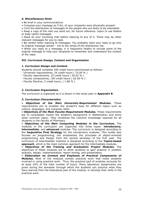#### *5. Miscellaneous Hints*

- Be brief in your communications.
- Compose your message as if ALL of your recipients were physically present.

• Limit the distribution of messages to the people who are likely to be interested.

• Keep a copy of the mail you send out, for future reference. Learn to use folders to keep useful messages.

• Read all your incoming mail before replying to any of it. There may be other relevant messages for you to read.

• Be careful when replying to messages. You probably want your reply to go only to original message sender - not to the whole of the distribution list.

• When you reply to a message, it is frequently helpful to include some of the original message to help your recipients to remember and understand the context of the reply.

#### **XII. Curriculum Design, Content and Organization**

#### *1. Curriculum Design and Content.*

Students should complete 160 credit hours summarised as follows:

- University requirements, 24 credit hours ( 15.00 % )
- Faculty requirements, 33 credit hours ( 20.62 % )
- Faculty compulsories, 100 credit hours ( 62.50 % )
- Faculty Elective, 3 credit hours, ( 1.88 % )

## *2. Curriculum Organization.*

The curriculum is organized as it is shown in the study plan in **Appendix B**.

#### *3. Curriculum Characteristics*

• *Objectives of the Main University-Requirement Modules.* These requirements are to broaden the student's base for different topics such as culture, languages, and computer skills.

• *Objectives of the Main Faculty-Requirement Modules.* These requirements are to consolidate mainly the student's background in Mathematics and some other common topics. They constitute the common knowledge required for all students in the Faculty of Pharmacy.

• *Objectives of the Main Computing Modules in the Curriculum.* The modules in the curriculum are organized into three types: **introductory, intermediate**, and **advanced** modules. The curriculum is designed according to the **Imperative First Strategy** for the introductory modules. This model also focuses on programming, but emphasizes the principles of object-oriented programming and Design from the second semester of the first year. The curriculum of Intermediate modules is designed according to the **Topics-based approach**, which is the most common approach for the intermediate modules.

• *Objectives of the Training and Graduation Project Modules.* The objectives of these modules are to allow students to gain practice in problem analysis, design, implementation, report writing, and presentation.

• *Elaboration on Content and Emphasis of Practical Components of Modules.* Most of the modules contain practical work that make students involved in using practical work. Thus, the practical part of modules accounts for at least 25% of the total number of hours. Many laboratory assignments are given during the semester through which the students can practice what they have learned from the theoretical part of the module, or develop their skills in the practical work.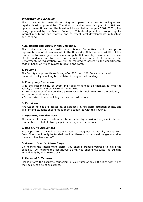#### *Innovation of Curriculum.*

The curriculum is constantly evolving to cope-up with new technologies and rapidly developing modules. The first curriculum was designed in 1991 and updated many times, and the latest will be applied in the year 2007-2008 (after being approved by the Deans' Council). This development is through regular internal monitoring and reviews, and to recent local developments in teaching and learning.

#### **XIII. Health and Safety in the University**

The University has a Health and Safety Committee, which comprises representatives of all services within the University. It is the responsibility of this committee to investigate complaints and potential hazards, to examine the cause of all accidents and to carry out periodic inspections of all areas of the Department. At registration, you will be required to assent to the departmental code of behavior, which relates to health and safety.

## *1. Building*

The Faculty comprises three floors; 400, 500 , and 600. In accordance with University policy, smoking is prohibited throughout all buildings.

#### *2. Emergency Evacuation*

It is the responsibility of every individual to familiarize themselves with the Faculty's building and be aware of the fire exits.

• After evacuation of any building, please assemble well away from the building, and do not block any exits.

• Do not return to any building until authorized to do so.

## *3. Fire Action*

Fire Action notices are located at, or adjacent to, fire alarm actuation points, and all staff and students should make them acquainted with this routine.

#### *4. Operating the Fire Alarm*

The manual fire alarm system can be activated by breaking the glass in the red contact boxes sited at strategic points throughout the premises.

#### *5. Use of Fire Appliances*

Fire appliances are sited at strategic points throughout the Faculty to deal with fires. Fires should only be tackled provided there is no personal danger and after the alarm has been set off.

#### *6. Action when the Alarm Rings*

On hearing the intermittent alarm, you should prepare yourself to leave the building. On hearing the continuous alarm, you should evacuate the building immediately by the nearest exit.

#### *7. Personal Difficulties*

Please inform the Faculty's counselors or your tutor of any difficulties with which the Faculty can be of assistance.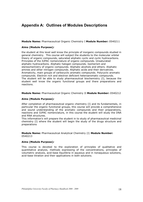## **Appendix A: Outlines of Modules Descriptions**

#### **Module Name:** Pharmaceutical Organic Chemistry I **Module Number:** 0540211

#### **Aims (Module Purpose)***:*

the student at this level well know the principle of inorganic compounds studied in general chemistry. This course will subject the students to the molecular orbital theory of organic compounds, saturated aliphatic cyclic and cyclic hydrocarbons. Principles of the IUPAC nomenclature of organic compounds. Unsaturated aliphatic hydrocarbons. Aliphatic halogen compounds. Isomerism and stereochemistry of organic compounds. Aliphatic alcohols and ethers. Aliphatic amines and other nitrogen compounds. Aliphatic acids and their derivatives. Aromaticity, main groups of carbocyclic aromatic compounds. Polycyclic aromatic compounds. Electron rich and electron deficient heteroaromatic compounds. The student will be able to study pharmaceutical biochemistry (I), because the student well know the organic functional groups and there preparations and reactions.

#### **Module Name:** Pharmaceutical Organic Chemistry II **Module Number:** 0540212

#### **Aims (Module Purpose)***:*

After completion of pharmaceutical organic chemistry (I) and its fundamentals, in particular the organic functional groups, this course will provide a comprehensive and sound understanding of the aromatic compounds and their preparations, reactions and IUPAC nomenclature, in this course the student will study the DNA and RNA structures.

This information's will prepare the student in to study of pharmaceutical medicinal chemistry (I) where the student will begin the study of the drugs structure and preparations

**Module Name:** Pharmaceutical Analytical Chemistry (I) **Module Number:** 0540213

#### **Aims (Module Purpose)***:*

This course is devoted to the exploration of principles of qualitative and quantitative analysis, methods expressing of the concentrations, principles of volumetric analysis, acid-base Equilibria in aqueous and in nonaqueous solutions, acid-base titration and their applications in both solutions.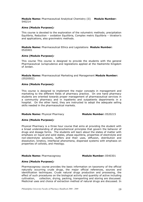**Module Name:** Pharmaceutical Analytical Chemistry (II) **Module Number:** 540214

#### **Aims (Module Purpose)***:*

This course is devoted to the exploration of the volumetric methods; precipitation Equilibria, Reduction – oxidation Equilibria, Complex metric Equilibria – titration's and applications, also gravimetric methods.

**Module Name:** Pharmaceutical Ethics and Legislations **Module Number:**  0520401

#### **Aims (Module Purpose)***:*

This course This course is designed to provide the students with the general Pharmaceutical Jurisprudence and legislations applied at the Hashemite Kingdom of Jordan.

**Module Name:** Pharmaceutical Marketing and Management **Module Number:**  (0520502)

#### **Aims (Module Purpose)***:*

This course is designed to implement the major concepts in management and marketing to the different fields of pharmacy practice. On one hand pharmacy students are oriented towards proper management of pharmaceutical services in a community pharmacy and in inpatients and outpatients departments in a hospital. On the other hand, they are instructed to adopt the adequate selling skills needed in the pharmaceutical markets.

## **Module Name:** Physical Pharmacy **Module Number:** 0520215

#### **Aims (Module Purpose)***:*

Physical Pharmacy is a three hour course that aims at providing the student with a broad understanding of physicochemical principles that govern the behavior of drugs and dosage forms. The students will learn about the states of matter with emphasis on liquid and solid states, phase equilibria, properties of electrolyte and non-electrolyte solutions, buffers and their uses, diffusion, distribution and dissolution, kinetics, interfacial phenomena, dispersed systems with emphasis on properties of colloids, and rheology.

#### **Module Name:** Pharmacognosy **Module Number:** 0540301

#### **Aims (Module Purpose)***:*

Pharmacognosy course provides the basic information on taxonomy of the official naturally occurring crude drugs, the major official references, sources and identification techniques. Crude natural drugs production and processing, the effect of such procedures on the biological activity and quantity of active including cultivation, collection, drying, packing, transporting and storing are discussed. Medicinal uses and choice of extraction method of natural drugs are discussed. In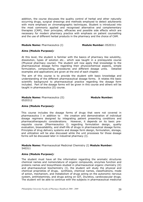addition, the course discusses the quality control of herbal and other naturally occurring drugs, surgical dressings and methods employed to detect adulterants with more emphasis on chromatographic techniques. Student is introduced into the most commonly applied and recognised alternative and complementary therapies (CAM), their principles, efficacies and possible side effects which are necessary for modern pharmacy practice with emphasis on patient counselling and the use of different herbal products in the pharmacy and the choice of CAM.

#### **Module Name:** Pharmaceutics (I) **Module Number:** 0520311

#### **Aims (Module Purpose)***:*

At this level, the student is familiar with the basics of pharmacy like solubility, dissolution, types of solution etc… which was taught in a prerequisite course (Physical pharmacy course). The student will now apply that knowledge to the pharmaceutical dosage forms regarding their physicochemical aspects, simple formulation, compounding, procedures and different dosage units. Detailed examples and applications are given at the end of each chapter.

The aim of this course is to provide the student with basic knowledge and understanding of the different pharmaceutical dosage forms. It relates the basic scientific background to pharmaceutical practice regarding the dosage form included. Part of the dosage forms will be given in this course and others will be taught in pharmaceutics (II) course.

#### **Module Name:** Pharmaceutics (II) **Module Number: Module Number:** 0520312

#### **Aims (Module Purpose)***:*

This course includes the dosage forms of drugs that were not covered in pharmaceutics I in addition to the creation and demonstration of individual dosage regimens designed by integrating patient presenting conditions and pharmacotherapeutic considerations. However, it depends on its basic prerequisite course (Pharmaceutics I) regarding formulation design, quality evaluation, bioavailability, and shelf-life of drugs in pharmaceutical dosage forms. Principles of drug delivery systems and dosage form design, formulation, storage, and utilization will be also discussed while the unit processes for those dosage forms will be discussed later in industrial pharmacy (I).

**Module Name:** Pharmaceutical Medicinal Chemistry (I) **Module Number:**  540311

#### **Aims (Module Purpose)***:*

The student must have all the information regarding the aromatic structures chemical names and nomenclature of organic compounds, enzymes function and proteins names and biosynthesis studied in pharmaceutical organic chemistry (II) and pharmaceutical biochemistry (I), the student will study the physical and chemical proprieties of drugs, synthesis, chemical names, classifications, mode of action, mechanism, and metabolism of drugs acting on the autonomic nervous system, antihistamines, and drugs acting on GIT, Diuretics, cardiovascular drugs. The student will be able to continue with the subjects in pharmaceutical medicinal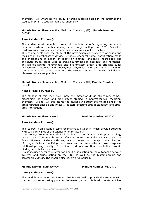chemistry (II), where he will study different subjects based in the information's studied in pharmaceutical medicinal chemistry.

**Module Name:** Pharmaceutical Medicinal Chemistry (II) **Module Number:**  540312

#### **Aims (Module Purpose)***:*

The student must be able to know all the information's regarding autonomic nervous system, antihistamines, and drugs acting on GIT, Diuretics, cardiovascular drugs studied in pharmaceutical medicinal chemistry (I). This course deals with the study of the physiochemical properties of drugs and their action. Metabolism of drugs. Synthesis, chemical name, classification, mode and mechanism of action of sedative-hypnotics, analgesic, neuroleptic and anxiolytic drugs, drugs used to treat neuromuscular disorders, sex hormones, anti-allergic agents, nonsteriodal anti-inflammatory drugs, drug affecting sugar metabolism, Vitamins and coenzymes, thyroidal and anti-thyroidal agents, chemotherapeutic agents and others. The structure action relationship will also be discussed wherever possible.

**Module Name:** Pharmaceutical Medicinal Chemistry (III) **Module Number:**  540411

#### **Aims (Module Purpose)***:*

The student at this level well know the major of drugs structures, names, mechanism of action and side effect studied in pharmaceutical medicinal chemistry (I) and (II), this course the student will study the metabolism of the drugs through phase I and phase II, factors affecting drug metabolism and drugdrug interactions

#### **Module Name:** Pharmacology I **Module Number:** 0530371

#### **Aims (Module Purpose)***:*

This course is an essential topic for pharmacy students, which provide students with basic principles of the science of pharmacology.

It is college requirement allowed student to be familiar with pharmacology terminology. This module has a reflective, interactive and analytical contextual focus. However, it deals with drug receptor interaction concept, mode of action of drugs, factors modifying responses and adverse effects, dose response relationship, drug toxicity. In addition to drug absorption, distribution, protein binding, metabolism and excretion.

It also includes detailed information about drugs acting on the autonomic nervous systems and drugs acting on the CNS as well as the histaminaregic and serotenergic drugs. The module also covers drug abused.

#### **Module Name:** Pharmacology II **Module Number:** 0530471

#### **Aims (Module Purpose)***:*

This module is a major requirement that is designed to provide the students with the unit processes taking place in pharmacology. At this level, the student has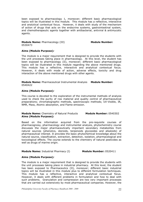been exposed to pharmacology 1, moreover; different basic pharmacological topics will be illustrated in this module. This module has a reflective, interactive and analytical contextual focus. However, it deals with study of the mechanism of action of drugs that acts on the endocrine systems, gastrointestinal system, and chemotherapeutic agents together with antibacterial, antiviral & antimycotic agents.

**Module Name:** Pharmacology (III) **Module Number: Module Number:** 0530473

#### **Aims (Module Purpose)***:*

The module is a major requirement that is designed to provide the students with the unit processes taking place in pharmacology. At this level, the student has been exposed to pharmacology (II), moreover; different basic pharmacological topics will be illustrated in this module regarding the above mentioned drugs. This module has a reflective, interactive and analytical contextual focus. However, it deals with mode of action, adverse effects, toxicity and drug interaction of the above mentioned drugs with other agents.

#### **Module Name:** Pharmaceutical Instrumental Analysis **Module Number:** 0540422

#### **Aims (Module Purpose)***:*

This course is devoted to the exploration of the instrumental methods of analysis used to check the purity of row material and quality control of pharmaceutical preparations; chromatographic methods, spectroscopic methods; UV-Visible, IR, NMR, Mass, Atomic absorption, and Flame emission.

#### **Module Name:** Chemistry of Natural Products **Module Number:** 0540302 **Aims (Module Purpose)***:*

Based on the information acquired from the pre-requisite courses of pharmacognosy, pharmacology and instrumental analysis, phytochemistry course discusses the major pharmaceutically important secondary metabolites from natural sources (phenolics, steroids, terpenoids glycosides and alkaloids) of pharmaceutical interest. It provides the basic phytochemical knowledge about the natural source, classification, extraction, detection, isolation, pharmacological and toxicological effects. The course extends to the chemistry of natural pesticides as well as drugs of marine origin.

#### **Module Name:** Industrial Pharmacy (I) **Module Number:** 0520411

#### **Aims (Module Purpose)***:*

The module is a major requirement that is designed to provide the students with the unit processes taking place in industrial pharmacy. At this level, the student has been exposed to Pharmaceutics (II), moreover; different basic industrial topics will be illustrated in this module plus to different formulation techniques. This module has a reflective, interactive and analytical contextual focus. However, it deals with different problems in formulation and how to deal with such problems. Granulation and compression are two very important processes that are carried out extensively by most pharmaceutical companies. However, the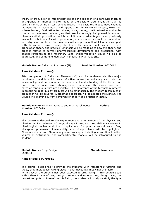theory of granulation is little understood and the selection of a particular machine and granulation method is often done on the basis of tradition, rather than by using strict scientific or cost-benefit criteria. The basic techniques have changed dramatically in recent years and granulation for controlled release, extrusion, spheronisation, fluidisation techniques, spray drying, melt extrusion and roller compaction are new technologies that are increasingly being used in modern pharmaceutical production, which exhibit many advantages over previously available techniques. As with granulation, compression is also little understood and why some materials/formulations will compress well whilst others compact with difficulty, is slowly being elucidated. The module will examine current granulation theory and practice. Emphasis will be made as to how this theory and practice relates to current pharmaceutical development and production, with special reference to the machinery used. Initial validation issues will also be addressed, and comprehended later in Industrial Pharmacy (II).

**Module Name:** Industrial Pharmacy (II) **Module Number:** 0520412

#### **Aims (Module Purpose)***:*

After completion of Industrial Pharmacy (I) and its fundamentals, this major requirement module which has a reflective, interactive and analytical contextual focus, will provide a comprehensive and sound understanding of the theory and practice of pharmaceutical technology and to appreciate the various processes; batch or continuous, that are available. The importance of the technology process in producing good quality products will be emphasized. The modern techniques of production will be covered. A pragmatic approach will be adopted throughout. The Course will examine current compression theory and practice in detail.

**Module Name:** Biopharmaceutics and Pharmacokinetics **Module Number:** 0520419

#### **Aims (Module Purpose)***:*

This course is devoted to the exploration and examination of the physical and physicochemical behavior of drugs, dosage forms, and drug delivery systems in physiological milieu and their implications for pharmaceutical care. Drug absorption processes, bioavailability, and bioequivalence will be highlighted. Pharmacokinetic and Pharmacodynamic concepts, including absorption kinetics, volume of distribution, and compartmental models, will be introduced to the student.

**Module Name:** Drug Design **Module Number: Module Number:** 0540511

## **Aims (Module Purpose)***:*

The course is designed to provide the students with receptors structures and types, drug metabolism taking place in pharmaceutical medicinal chemistry (III) . At this level, the student has been exposed to drug design. This course deals with different type of drug design, random and rational drug design using the newest computer software's in this field , the student will study carefully the type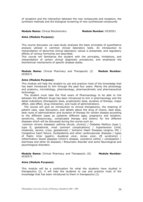of receptors and the interaction between the new compounds and receptors, the synthesis methods and the biological screening of new synthesized compounds

#### **Module Name:** Clinical Biochemistry **Module Number:** 0530551

#### **Aims (Module Purpose)***:*

This course discusses via case-study analyses the basic principles of quantitative analysis utilized in common clinical laboratory tests. An introduction to interpretation of abnormal clinical laboratory values is presented, and regulatory effects of various hormones are described.

This course will familiarize the student with the principles, limitations, and interpretation of certain clinical diagnostic procedures; and emphasize the biochemical mechanisms of specific disease states.

**Module Name:** Clinical Pharmacy and Therapeutic (I) **Module Number:** 0530571

#### **Aims (Module Purpose)***:*

This module will help the student to use and practice most of the knowledge that has been introduced to him through the past four years. Mainly the physiology and anatomy, microbiology, pharmacology, pharmacokinetic and pharmaceutical technology.

 The student must take the final exam of Pharmacology to be able to link between the different drugs has been introduced to him in pharmacology and the detail indications (therapeutic dose, prophylactic dose, duration of therapy, major effect, side effect, drug interaction, and route of administration).

 The course will give an introduction to clinical therapeutics, the meaning of patient case, case discussion, and details about the drug of choice, best dose, best route of administration and duration of therapy for certain disease according to the different cases as (patients different ages, pregnancy and lactation, sensitivity, idiosyncrasy, complicated therapy and others) for the different diseases which will be discussed during the course such as:

 common chronic diseases/ asthma (Acute, chronic) / Diabetes Mellitus (type I, type II, gestational, most common complications) / hypertension (mild, moderate, severe, crisis, gestational) / Ischemic Heart Diseases (angina, MI) / Congestive heart failure, Dyslipidemia and other cardiovascular diseases / types of Peptic Ulcer (gastric, duodenal ulcer, stress ulcer, ZE syndrome) / inflammatory bowel diseases (chron's disease, ulcerative colitis) / constipation / diarrhoea and other GI diseases / Rheumatic disorder and some Neurological and psychological disorders.

**Module Name:** Clinical Pharmacy and Therapeutic (II) **Module Number:** 0530572

#### **Aims (Module Purpose)***:*

This module will be a continuation for what the students have studied in therapeutics (I), it will help the students to use and practice most of the knowledge that has been introduced to them in therapeutics (I).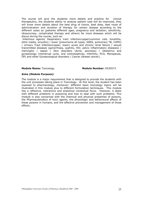The course will give the students more details and practice for clinical therapeutics, the students ability to analyze patient case will be improved, they will know more details about the best drug of choice, best dose, best route of administration and duration of therapy for certain disease according to the different cases as (patients different ages, pregnancy and lactation, sensitivity, idiosyncrasy, complicated therapy and others) for more diseases which will be discus during the course, such as:

 Infectious agents/ Respiratory tract infection/upper(common cold, tonsillitis, otitis media, sinusitis) / lower (pneumonia all types, SARS, pulmonary TB, COPD) / Urinary Tract Infection(upper, lower) acute and chronic renal failure / sexual transmitted diseases (gonorrhoea, syphilis, HIV, pelvic inflammatory diseases) / meningitis / sepsis / Skin disorders (Acne, psoriasis) / Obstetrics and gynaecology (menstrual cycle, oral contraceptives, infertility, PCO, Menopause, OP) and other Gynaecological disorders / Cancer (Breast cancer).

#### **Module Name:** Toxicology **Module Number: 0530573**

#### **Aims (Module Purpose)***:*

The module is a major requirement that is designed to provide the students with the unit processes taking place in Toxicology. At this level, the student has been exposed to pharmacology, moreover; different basic toxicology topics will be illustrated in this module plus to different formulation techniques. This module has a reflective, interactive and analytical contextual focus. However, it deals with different problems in poisoning and how to deal with such problems. This module is also concerned with the chemical and physical properties of poisons, the Pharmacokinetics of toxic agents, the physiologic and behavioural effects of these poisons in humans, and the effective prevention and management of those effects.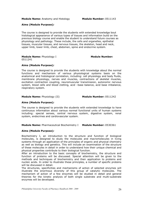#### **Aims (Module Purpose)***:*

The course is designed to provide the students with extended knowledge bout histological appearance of various types of tissues and information build on the previous biology course and enable the student to understand future courses as physiology and pathology. These include, the cells and organelles, epithelial tissues, muscular tissues, and nervous tissues, the skeleton, head and neck, upper limb, lower limb, chest, abdomen, spine and endocrine system.

#### **Module Name:** Physiology I **Module Number:** 0511241

## **Aims (Module Purpose)***:*

The course is designed to provide the students with knowledge about the normal functions and mechanism of various physiological systems basis on the anatomical and histological correlation, including: cell physiology and body fluids, membrane physiology, nerves and muscles, contractions of skeletal muscles, excitation contraction coupling, neuromuscular transmission, autonomic nervous system, blood cells and blood clotting, acid –base balance, acid base imbalance, respiratory system.

#### **Module Name:** Physiology (II) **Module Number:** 0511242

#### **Aims (Module Purpose)***:*

The course is designed to provide the students with extended knowledge to have continuous information about various normal functional units of human systems including: special senses, central nervous system, digestive system, renal system, endocrines and cardiovascular system.

## **Module Name:** Pharmaceutical Biochemistry I **Module Number:** 0530361

#### **Aims (Module Purpose)***:*

Biochemistry I, an introduction to the structure and function of biological molecules, is designed to study the molecules and macromolecules in living systems through an application of the principles of organic and physical chemistry as well as biology and genetics. This will include an examination of the structure of these molecules in detail in order to understand how their unique chemical and physical properties contribute to their biological function.

After an introduction to the basic concepts of biochemistry, the structure and function of proteins will be discussed. Special attention will be given to the methods and techniques of biochemistry and their application to proteins and nucleic acids. In order to illustrate these principles, a number of specific proteins will be discussed in detail.

The structures, specificities and mechanisms of action of selected enzymes will illustrate the enormous diversity of this group of catalytic molecules. The mechanism of action of a few enzymes will be studied in detail and general theories for the kinetic analysis of both single substrate and multi-substrate enzymes will be developed.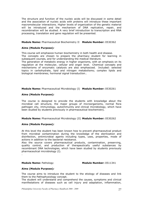The structure and function of the nucleic acids will be discussed in some detail and the association of nucleic acids with proteins will introduce these important macromolecular interactions. Higher levels of organization of the genetic material will be introduced and the mechanism of DNA replication, repair, and recombination will be studied. A very brief introduction to transcription and RNA processing, translation and gene regulation will be presented.

#### **Module Name:** Pharmaceutical Biochemistry II **Module Number:** 0530362

#### **Aims (Module Purpose)***:*

This course will emphasize human biochemistry in both health and disease.

The concepts are chosen to prepare the pharmacy student for learning in subsequent courses, and for understanding the medical literature.

The generation of metabolic energy in higher organisms, with an emphasis on its regulation at the molecular, cellular and organ level. Chemical concepts and mechanisms of enzymatic catalysis are also emphasized. Included: selected topics in carbohydrate, lipid and nitrogen metabolisms; complex lipids and biological membranes; hormonal signal transduction..

#### **Module Name:** Pharmaceutical Microbiology (I) **Module Number:** 0530261

#### **Aims (Module Purpose)***:*

The course is designed to provide the students with knowledge about the microbial cell structure, the major groups of microorganisms, normal flora pathogen city, immunology, autoimmunity and clinical microbiology, which have been studied by students previously in pharmaceutical biochemistry.

**Module Name:** Pharmaceutical Microbiology (II) **Module Number:** 0530262

## **Aims (Module Purpose)***:*

At this level the student has been known how to prevent pharmaceutical product from microbial contamination during the knowledge of the sterilization and disinfection, antimicrobial agents including types, uses, properties, mode of actions in addition to the bacterial resistance.

Also the source covers pharmaceutical products, contamination, preserving, quality control, and production of therapeutically useful substances by recombinant DNA technologies, which have been studied by students previously pharmaceutical microbiology (I).

.

#### **Module Name:** Pathology **Module Number:** 0511341

#### **Aims (Module Purpose)***:*

The course aims to introduce the student to the etiology of diseases and link them to the Pathophysiology concept.

The student will understand and comprehend the causes, symptoms and clinical manifestations of diseases such as cell injury and adaptation, inflammation,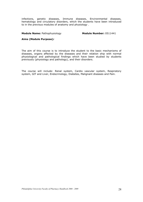infections, genetic diseases, Immune diseases, Environmental diseases, hematology and circulatory disorders, which the students have been introduced to in the previous modules of anatomy and physiology .

#### **Module Name: Pathophysiology Module Number: 0511441**

#### **Aims (Module Purpose)***:*

The aim of this course is to introduce the student to the basic mechanisms of diseases, organs affected by the diseases and their relation ship with normal physiological and pathological findings which have been studied by students previously (physiology and pathology), and their disorders.

The course will include: Renal system, Cardio vascular system, Respiratory system, GIT and Liver, Endocrinology, Diabetes, Malignant diseases and Pain.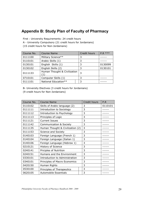## **Appendix B: Study Plan of Faculty of Pharmacy**

First : University Requirements: 24 credit hours

A - University Compulsory (21 credit hours for Jordanians)

(15 credit hours for Non-Jordanians)

| Course No. | <b>Course Name</b>                               | Credit hours | $***$<br>P.R. |
|------------|--------------------------------------------------|--------------|---------------|
| 0111100    | Military Science**                               | 3            |               |
| 0110101    | Arabic Skills (1)                                | 3            |               |
| 0130101    | English Skills (1)                               | 3            | 0130099       |
| 0130102    | English Skills (2)                               | 3            | 0130101       |
| 0111133    | Human Thought & Civilization<br>$\left(1\right)$ | 3            |               |
| 0710101    | Computer Skills (1)                              | 3            |               |
| 0111101    | National Education**                             | 3            |               |

B- University Electives (3 credit hours for Jordanians)

(9 credit hours for Non-Jordanians)

| Course No. | <b>Course Name</b>                 | Credit hours | P.R     |
|------------|------------------------------------|--------------|---------|
| 0110102    | Skills of Arabic language (2)      | 3            | 0110101 |
| 0111111    | Introduction to Sociology          | 3            |         |
| 0111112    | Introduction to Psychology         | 3            |         |
| 0111113    | Principles of Logic                | 3            |         |
| 0111121    | <b>Current Issues</b>              | 3            |         |
| 0111142    | <b>Communication &amp; Society</b> | 3            |         |
| 0111135    | Human Thought & Civilization (2)   | 3            |         |
| 0111153    | <b>Science and Society</b>         | 3            |         |
| 0140103    | Foreign Language (French 1)        | 3            |         |
| 0140104    | Foreign Language (Italian 1)       | 3            |         |
| 0140106    | Foreign Language (Hebrew 1)        | 3            |         |
| 0210121    | History of Science                 | 3            |         |
| 0240141    | Priciples of Nutrition             | 3            |         |
| 0240151    | Humans and the Environment         | 3            |         |
| 0330101    | Introduction to Administration     | 3            |         |
| 0340101    | Principles of Macro Economics      | 3            |         |
| 0420150    | Human Rights                       | 3            |         |
| 0530100    | Principles of Therapeutics         | 3            |         |
| 0620105    | <b>Automobile Essentials</b>       | 3            |         |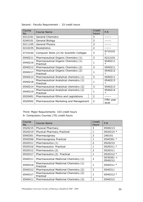| Course<br>No. | <b>Course Name</b>                                   | Credit<br>hours | P.R                 |
|---------------|------------------------------------------------------|-----------------|---------------------|
| 0212101       | <b>General Chemistry</b>                             | 3               |                     |
| 0240101       | General Biology                                      | 3               |                     |
| 0211105       | <b>General Physics</b>                               | 3               |                     |
| 0210235       | <b>Biostatistics</b>                                 | $\overline{2}$  |                     |
| 0710104       | Computer Skills (2) for Scientific Colleges          | 3               | 0710101<br>$\ast$   |
| 0540211       | Pharmaceutical Organic Chemistry (1)                 | 3               | 0212101             |
| 0540216       | Pharmaceutical Organic Chemistry (1)<br>Practical    | $\mathbf{1}$    | 0540211<br>$\ast$   |
| 0540212       | Pharmaceutical Organic Chemistry (2)                 | 3               | 0540211             |
| 0540217       | Pharmaceutical Organic Chemistry (2)<br>Practical    | 1               | 0540212<br>$\ast$   |
| 0540213       | Pharmaceutical Analytical chemistry (1)              | 3               | 0540211             |
| 0540218       | Pharmaceutical Analytical chemistry (1)<br>Practical | 1               | 0540213<br>$\ast$   |
| 0540214       | Pharmaceutical Analytical chemistry (2)              | 3               | 0540213             |
| 0540219       | Pharmaceutical Analytical chemistry (2)<br>Practical | 1               | 0540214<br>$\ast$   |
| 0520401       | Pharmaceutical Ethics and Legislations               | $\overline{2}$  |                     |
| 0520502       | Pharmaceutical Marketing and Management              | $\mathcal{P}$   | Fifth year<br>level |

Second : Faculty Requirement : 33 credit hours

## Third: Major Requirements 103 credit hours

A- Compulsory Courses (70) credit hours

| Course<br>No. | Course Name                                         | Credit<br>hours | P.R                    |
|---------------|-----------------------------------------------------|-----------------|------------------------|
| 0520215       | Physical Pharmacy                                   | 3               | 0540213                |
| 0520219       | Physical Pharmacy Practical                         | 1               | 0520215 *              |
| 0540301       | Pharmacognosy                                       | 3               | 240101                 |
| 0540306       | Pharmacognosy Practical                             | 1               | 0540301 *              |
| 0520311       | Pharmaceutics (1)                                   | $\mathcal{P}$   | 0520215                |
| 0520316       | Pharmaceutics Practical                             | $\mathbf{1}$    | 0520311 *              |
| 0520312       | Pharmaceutics (2)                                   | $\mathcal{P}$   | 0520311                |
| 0520317       | Pharmaceutics (2) Practical                         | 1               | 0520312 *              |
| 0540311       | Pharmaceutical Medicinal Chemistry (1)              | 3               | $0530361 +$<br>0540212 |
| 0540316       | Pharmaceutical Medicinal Chemistry (1)<br>Practical | 1               | 0540311 *              |
| 0540312       | Pharmaceutical Medicinal Chemistry (2)              | 3               | 0540311                |
| 0540317       | Pharmaceutical Medicinal Chemistry (2)<br>Practical | 1               | 0540312 *              |
| 0540411       | Pharmaceutical Medicinal Chemistry (3)              | 3               | 0540312                |